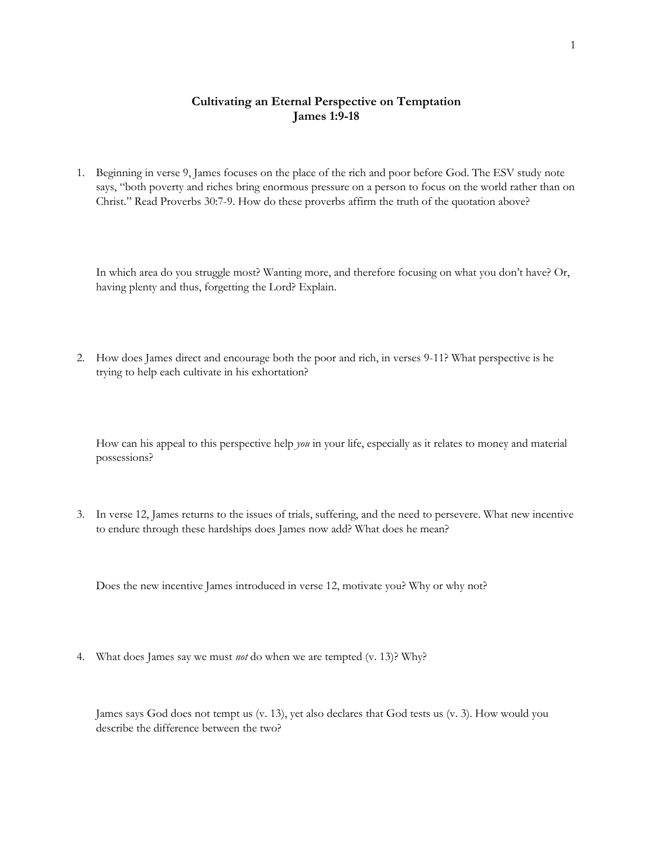## **Cultivating an Eternal Perspective on Temptation James 1:9-18**

1. Beginning in verse 9, James focuses on the place of the rich and poor before God. The ESV study note says, "both poverty and riches bring enormous pressure on a person to focus on the world rather than on Christ." Read Proverbs 30:7-9. How do these proverbs affirm the truth of the quotation above?

In which area do you struggle most? Wanting more, and therefore focusing on what you don't have? Or, having plenty and thus, forgetting the Lord? Explain.

2. How does James direct and encourage both the poor and rich, in verses 9-11? What perspective is he trying to help each cultivate in his exhortation?

How can his appeal to this perspective help *you* in your life, especially as it relates to money and material possessions?

3. In verse 12, James returns to the issues of trials, suffering, and the need to persevere. What new incentive to endure through these hardships does James now add? What does he mean?

Does the new incentive James introduced in verse 12, motivate you? Why or why not?

4. What does James say we must *not* do when we are tempted (v. 13)? Why?

James says God does not tempt us (v. 13), yet also declares that God tests us (v. 3). How would you describe the difference between the two?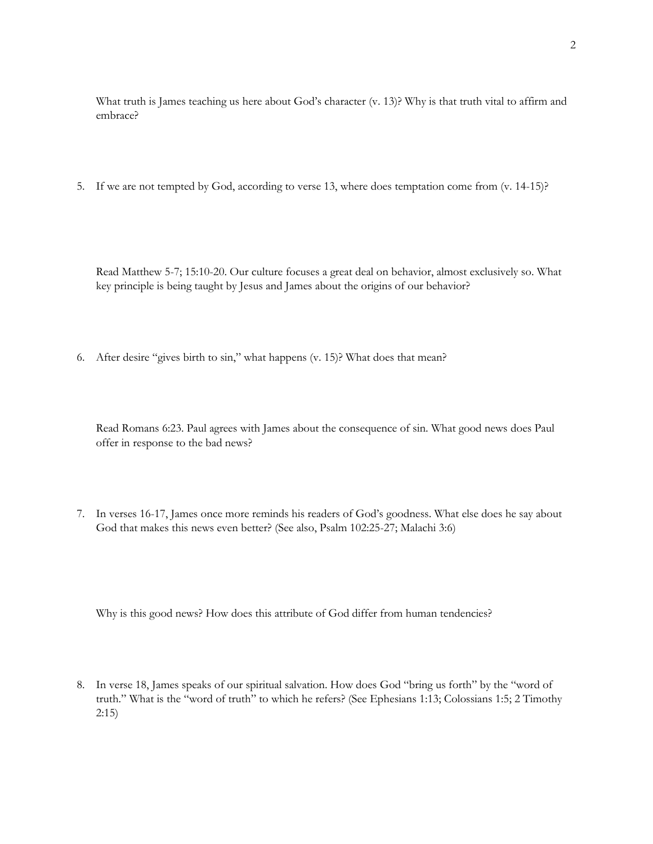What truth is James teaching us here about God's character (v. 13)? Why is that truth vital to affirm and embrace?

5. If we are not tempted by God, according to verse 13, where does temptation come from (v. 14-15)?

Read Matthew 5-7; 15:10-20. Our culture focuses a great deal on behavior, almost exclusively so. What key principle is being taught by Jesus and James about the origins of our behavior?

6. After desire "gives birth to sin," what happens (v. 15)? What does that mean?

Read Romans 6:23. Paul agrees with James about the consequence of sin. What good news does Paul offer in response to the bad news?

7. In verses 16-17, James once more reminds his readers of God's goodness. What else does he say about God that makes this news even better? (See also, Psalm 102:25-27; Malachi 3:6)

Why is this good news? How does this attribute of God differ from human tendencies?

8. In verse 18, James speaks of our spiritual salvation. How does God "bring us forth" by the "word of truth." What is the "word of truth" to which he refers? (See Ephesians 1:13; Colossians 1:5; 2 Timothy 2:15)